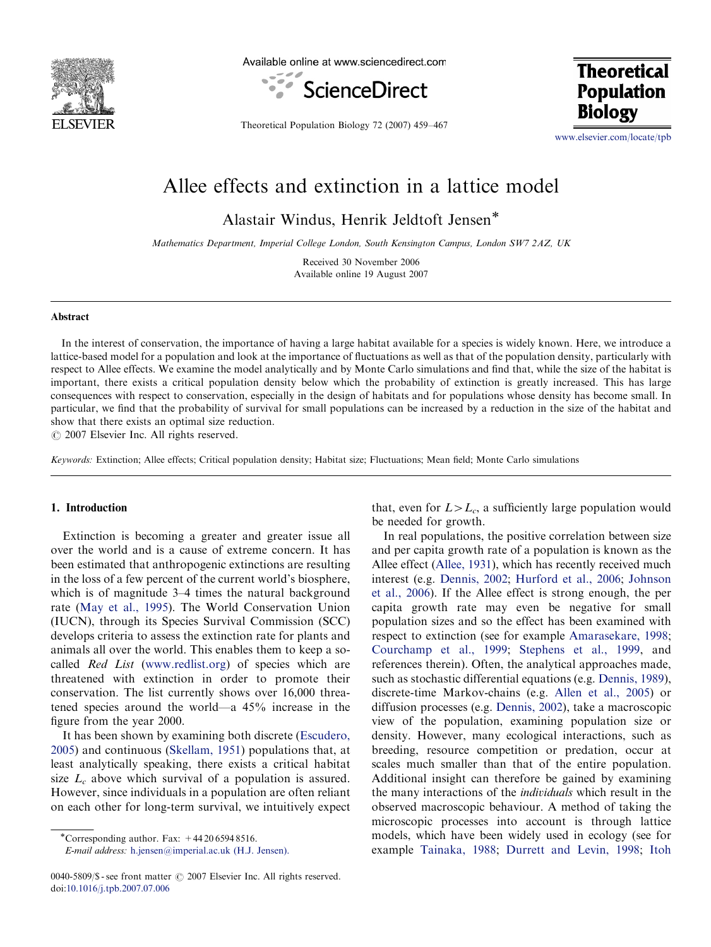

Available online at www.sciencedirect.com



**Theoretical Population Biology** 

Theoretical Population Biology 72 (2007) 459–467

[www.elsevier.com/locate/tpb](http://www.elsevier.com/locate/tpb)

# Allee effects and extinction in a lattice model

Alastair Windus, Henrik Jeldtoft Jensen!

Mathematics Department, Imperial College London, South Kensington Campus, London SW7 2AZ, UK

Received 30 November 2006 Available online 19 August 2007

#### Abstract

In the interest of conservation, the importance of having a large habitat available for a species is widely known. Here, we introduce a lattice-based model for a population and look at the importance of fluctuations as well as that of the population density, particularly with respect to Allee effects. We examine the model analytically and by Monte Carlo simulations and find that, while the size of the habitat is important, there exists a critical population density below which the probability of extinction is greatly increased. This has large consequences with respect to conservation, especially in the design of habitats and for populations whose density has become small. In particular, we find that the probability of survival for small populations can be increased by a reduction in the size of the habitat and show that there exists an optimal size reduction.

 $\odot$  2007 Elsevier Inc. All rights reserved.

Keywords: Extinction; Allee effects; Critical population density; Habitat size; Fluctuations; Mean field; Monte Carlo simulations

#### 1. Introduction

Extinction is becoming a greater and greater issue all over the world and is a cause of extreme concern. It has been estimated that anthropogenic extinctions are resulting in the loss of a few percent of the current world's biosphere, which is of magnitude 3–4 times the natural background rate (May et al., [1995\)](#page-7-0). The World Conservation Union (IUCN), through its Species Survival Commission (SCC) develops criteria to assess the extinction rate for plants and animals all over the world. This enables them to keep a socalled Red List ([www.redlist.org](http://www.redlist.org)) of species which are threatened with extinction in order to promote their conservation. The list currently shows over 16,000 threatened species around the world—a 45% increase in the figure from the year 2000.

It has been shown by examining both discrete [\(Escudero,](#page-7-0) [2005](#page-7-0)) and continuous ([Skellam,](#page-8-0) 1951) populations that, at least analytically speaking, there exists a critical habitat size  $L_c$  above which survival of a population is assured. However, since individuals in a population are often reliant on each other for long-term survival, we intuitively expect

E-mail address: [h.jensen@imperial.ac.uk](mailto:h.jensen@imperial.ac.uk) (H.J. Jensen).

that, even for  $L>L_c$ , a sufficiently large population would be needed for growth.

In real populations, the positive correlation between size and per capita growth rate of a population is known as the Allee effect [\(Allee,](#page-7-0) 1931), which has recently received much interest (e.g. [Dennis,](#page-7-0) 2002; [Hurford](#page-7-0) et al., 2006; [Johnson](#page-7-0) et al., [2006](#page-7-0)). If the Allee effect is strong enough, the per capita growth rate may even be negative for small population sizes and so the effect has been examined with respect to extinction (see for example [Amarasekare,](#page-7-0) 1998; [Courchamp](#page-7-0) et al., 1999; [Stephens](#page-8-0) et al., 1999, and references therein). Often, the analytical approaches made, such as stochastic differential equations (e.g. [Dennis,](#page-7-0) 1989), discrete-time Markov-chains (e.g. [Allen](#page-7-0) et al., 2005) or diffusion processes (e.g. [Dennis,](#page-7-0) 2002), take a macroscopic view of the population, examining population size or density. However, many ecological interactions, such as breeding, resource competition or predation, occur at scales much smaller than that of the entire population. Additional insight can therefore be gained by examining the many interactions of the individuals which result in the observed macroscopic behaviour. A method of taking the microscopic processes into account is through lattice models, which have been widely used in ecology (see for example [Tainaka,](#page-8-0) 1988; [Durrett](#page-7-0) and Levin, 1998; [Itoh](#page-7-0)

<sup>\*</sup>Corresponding author. Fax:  $+442065948516$ .

<sup>0040-5809/\$ -</sup> see front matter  $\odot$  2007 Elsevier Inc. All rights reserved. doi:[10.1016/j.tpb.2007.07.006](http://dx.doi.org/10.1016/j.tpb.2007.07.006)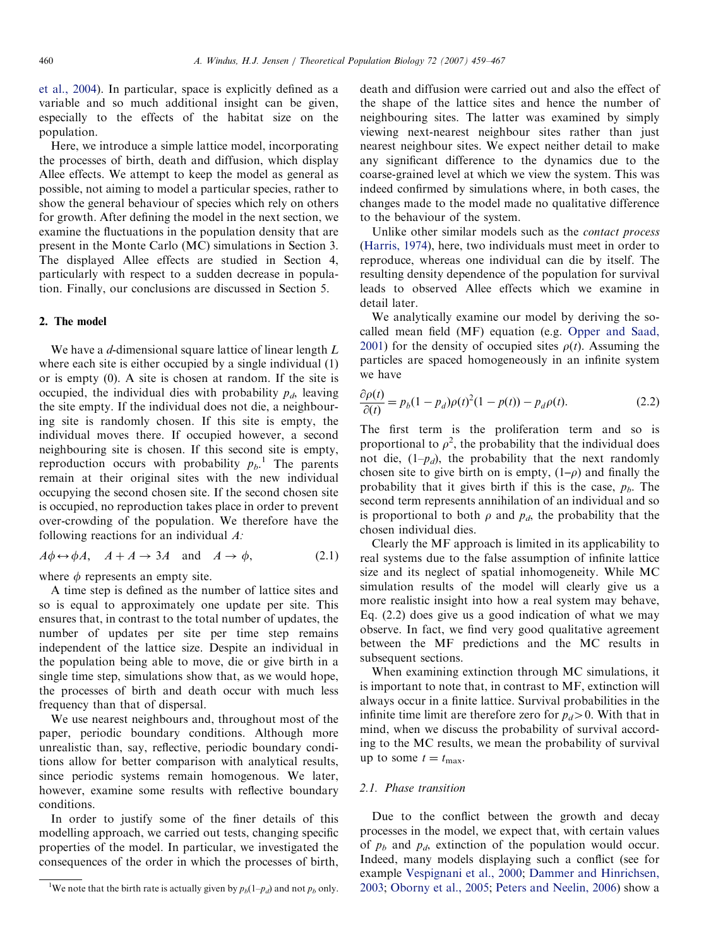et al., [2004](#page-7-0)). In particular, space is explicitly defined as a variable and so much additional insight can be given, especially to the effects of the habitat size on the population.

Here, we introduce a simple lattice model, incorporating the processes of birth, death and diffusion, which display Allee effects. We attempt to keep the model as general as possible, not aiming to model a particular species, rather to show the general behaviour of species which rely on others for growth. After defining the model in the next section, we examine the fluctuations in the population density that are present in the Monte Carlo (MC) simulations in Section 3. The displayed Allee effects are studied in Section 4, particularly with respect to a sudden decrease in population. Finally, our conclusions are discussed in Section 5.

## 2. The model

We have a  $d$ -dimensional square lattice of linear length  $L$ where each site is either occupied by a single individual (1) or is empty (0). A site is chosen at random. If the site is occupied, the individual dies with probability  $p_d$ , leaving the site empty. If the individual does not die, a neighbouring site is randomly chosen. If this site is empty, the individual moves there. If occupied however, a second neighbouring site is chosen. If this second site is empty, reproduction occurs with probability  $p_b$ .<sup>1</sup> The parents remain at their original sites with the new individual occupying the second chosen site. If the second chosen site is occupied, no reproduction takes place in order to prevent over-crowding of the population. We therefore have the following reactions for an individual A:

 $A\phi \leftrightarrow \phi A$ ,  $A + A \rightarrow 3A$  and  $A \rightarrow \phi$ , (2.1)

where  $\phi$  represents an empty site.

A time step is defined as the number of lattice sites and so is equal to approximately one update per site. This ensures that, in contrast to the total number of updates, the number of updates per site per time step remains independent of the lattice size. Despite an individual in the population being able to move, die or give birth in a single time step, simulations show that, as we would hope, the processes of birth and death occur with much less frequency than that of dispersal.

We use nearest neighbours and, throughout most of the paper, periodic boundary conditions. Although more unrealistic than, say, reflective, periodic boundary conditions allow for better comparison with analytical results, since periodic systems remain homogenous. We later, however, examine some results with reflective boundary conditions.

In order to justify some of the finer details of this modelling approach, we carried out tests, changing specific properties of the model. In particular, we investigated the consequences of the order in which the processes of birth,

death and diffusion were carried out and also the effect of the shape of the lattice sites and hence the number of neighbouring sites. The latter was examined by simply viewing next-nearest neighbour sites rather than just nearest neighbour sites. We expect neither detail to make any significant difference to the dynamics due to the coarse-grained level at which we view the system. This was indeed confirmed by simulations where, in both cases, the changes made to the model made no qualitative difference to the behaviour of the system.

Unlike other similar models such as the contact process [\(Harris,](#page-7-0) 1974), here, two individuals must meet in order to reproduce, whereas one individual can die by itself. The resulting density dependence of the population for survival leads to observed Allee effects which we examine in detail later.

We analytically examine our model by deriving the socalled mean field (MF) equation (e.g. [Opper](#page-7-0) and Saad, [2001\)](#page-7-0) for the density of occupied sites  $\rho(t)$ . Assuming the particles are spaced homogeneously in an infinite system we have

$$
\frac{\partial \rho(t)}{\partial(t)} = p_b(1 - p_d)\rho(t)^2(1 - p(t)) - p_d\rho(t). \tag{2.2}
$$

The first term is the proliferation term and so is proportional to  $\rho^2$ , the probability that the individual does not die,  $(1-p_d)$ , the probability that the next randomly chosen site to give birth on is empty,  $(1-\rho)$  and finally the probability that it gives birth if this is the case,  $p_b$ . The second term represents annihilation of an individual and so is proportional to both  $\rho$  and  $p_d$ , the probability that the chosen individual dies.

Clearly the MF approach is limited in its applicability to real systems due to the false assumption of infinite lattice size and its neglect of spatial inhomogeneity. While MC simulation results of the model will clearly give us a more realistic insight into how a real system may behave, Eq. (2.2) does give us a good indication of what we may observe. In fact, we find very good qualitative agreement between the MF predictions and the MC results in subsequent sections.

When examining extinction through MC simulations, it is important to note that, in contrast to MF, extinction will always occur in a finite lattice. Survival probabilities in the infinite time limit are therefore zero for  $p_d > 0$ . With that in mind, when we discuss the probability of survival according to the MC results, we mean the probability of survival up to some  $t = t_{\text{max}}$ .

#### 2.1. Phase transition

Due to the conflict between the growth and decay processes in the model, we expect that, with certain values of  $p_b$  and  $p_d$ , extinction of the population would occur. Indeed, many models displaying such a conflict (see for example [Vespignani](#page-8-0) et al., 2000; Dammer and [Hinrichsen,](#page-7-0) [2003;](#page-7-0) [Oborny](#page-7-0) et al., 2005; Peters and [Neelin,](#page-7-0) 2006) show a

<sup>&</sup>lt;sup>1</sup>We note that the birth rate is actually given by  $p_b(1-p_d)$  and not  $p_b$  only.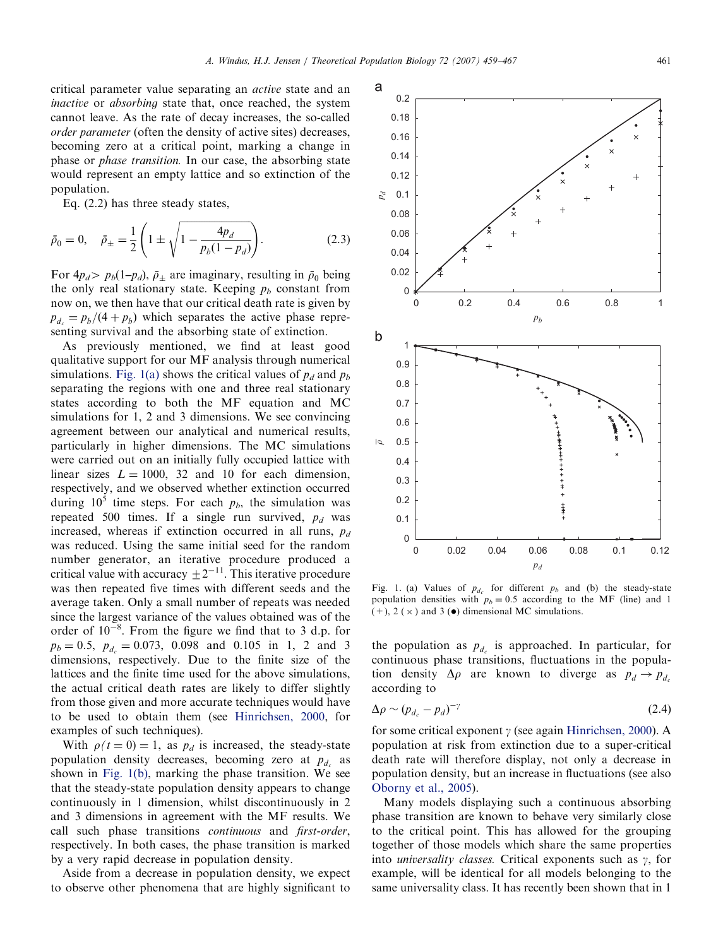critical parameter value separating an active state and an inactive or absorbing state that, once reached, the system cannot leave. As the rate of decay increases, the so-called order parameter (often the density of active sites) decreases, becoming zero at a critical point, marking a change in phase or phase transition. In our case, the absorbing state would represent an empty lattice and so extinction of the population.

Eq. (2.2) has three steady states,

$$
\bar{p}_0 = 0, \quad \bar{p}_{\pm} = \frac{1}{2} \left( 1 \pm \sqrt{1 - \frac{4p_d}{p_b(1 - p_d)}} \right). \tag{2.3}
$$

For  $4p_d > p_b(1-p_d)$ ,  $\bar{p}_{\pm}$  are imaginary, resulting in  $\bar{p}_0$  being the only real stationary state. Keeping  $p_b$  constant from now on, we then have that our critical death rate is given by  $p_d = p_b/(4 + p_b)$  which separates the active phase representing survival and the absorbing state of extinction.

As previously mentioned, we find at least good qualitative support for our MF analysis through numerical simulations. Fig. 1(a) shows the critical values of  $p_d$  and  $p_b$ separating the regions with one and three real stationary states according to both the MF equation and MC simulations for 1, 2 and 3 dimensions. We see convincing agreement between our analytical and numerical results, particularly in higher dimensions. The MC simulations were carried out on an initially fully occupied lattice with linear sizes  $L = 1000$ , 32 and 10 for each dimension, respectively, and we observed whether extinction occurred during  $10^5$  time steps. For each  $p_b$ , the simulation was repeated 500 times. If a single run survived,  $p_d$  was increased, whereas if extinction occurred in all runs,  $p_d$ was reduced. Using the same initial seed for the random number generator, an iterative procedure produced a critical value with accuracy  $\pm 2^{-11}$ . This iterative procedure was then repeated five times with different seeds and the average taken. Only a small number of repeats was needed since the largest variance of the values obtained was of the order of  $10^{-8}$ . From the figure we find that to 3 d.p. for  $p_b = 0.5$ ,  $p_{d_c} = 0.073$ , 0.098 and 0.105 in 1, 2 and 3 dimensions, respectively. Due to the finite size of the lattices and the finite time used for the above simulations, the actual critical death rates are likely to differ slightly from those given and more accurate techniques would have to be used to obtain them (see [Hinrichsen,](#page-7-0) 2000, for examples of such techniques).

With  $\rho(t = 0) = 1$ , as  $p_d$  is increased, the steady-state population density decreases, becoming zero at  $p_d$  as shown in Fig. 1(b), marking the phase transition. We see that the steady-state population density appears to change continuously in 1 dimension, whilst discontinuously in 2 and 3 dimensions in agreement with the MF results. We call such phase transitions continuous and first-order, respectively. In both cases, the phase transition is marked by a very rapid decrease in population density.

Aside from a decrease in population density, we expect to observe other phenomena that are highly significant to Fig. 1. (a) Values of  $p_{d_c}$  for different  $p_b$  and (b) the steady-state population densities with  $p_b = 0.5$  according to the MF (line) and 1  $(+)$ , 2  $(\times)$  and 3  $(\bullet)$  dimensional MC simulations.

the population as  $p_{d_c}$  is approached. In particular, for continuous phase transitions, fluctuations in the population density  $\Delta \rho$  are known to diverge as  $p_d \rightarrow p_d$ . according to

$$
\Delta \rho \sim (p_{d_c} - p_d)^{-\gamma} \tag{2.4}
$$

for some critical exponent  $\gamma$  (see again [Hinrichsen,](#page-7-0) 2000). A population at risk from extinction due to a super-critical death rate will therefore display, not only a decrease in population density, but an increase in fluctuations (see also [Oborny](#page-7-0) et al., 2005).

Many models displaying such a continuous absorbing phase transition are known to behave very similarly close to the critical point. This has allowed for the grouping together of those models which share the same properties into *universality classes*. Critical exponents such as  $\gamma$ , for example, will be identical for all models belonging to the same universality class. It has recently been shown that in 1

0 0.02 0.04 0.06 0.08 0.1 0.12  $\Omega$ 0.1 0.2 0.3 0.4 0.5 0.6 0.7 0.8  $\overline{Q}$ 

a

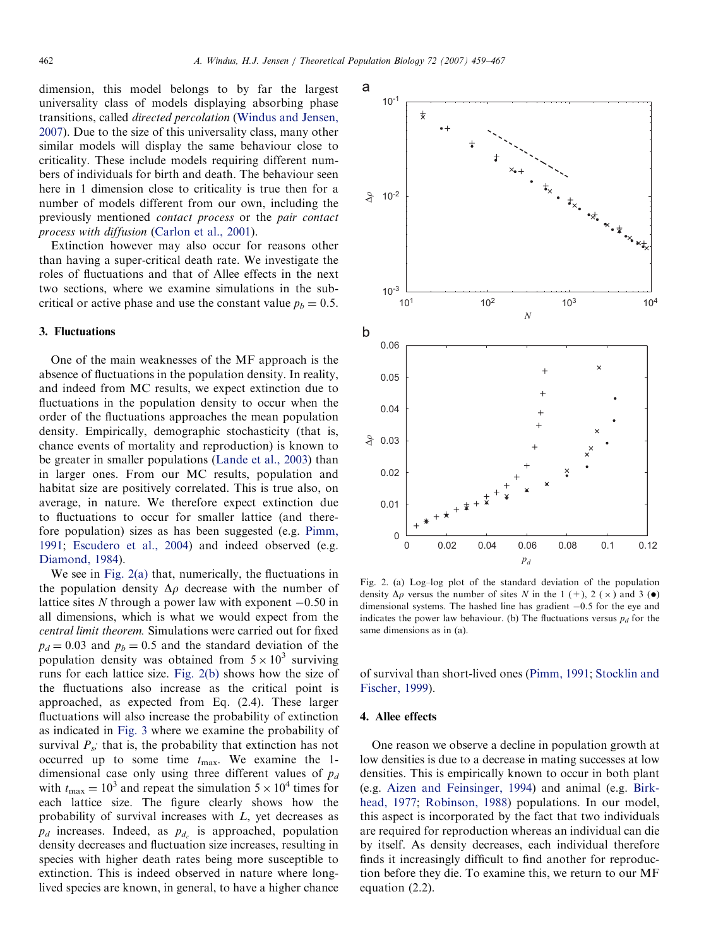dimension, this model belongs to by far the largest universality class of models displaying absorbing phase transitions, called directed percolation ([Windus](#page-8-0) and Jensen, [2007\)](#page-8-0). Due to the size of this universality class, many other similar models will display the same behaviour close to criticality. These include models requiring different numbers of individuals for birth and death. The behaviour seen here in 1 dimension close to criticality is true then for a number of models different from our own, including the previously mentioned contact process or the pair contact process with diffusion ([Carlon](#page-7-0) et al., 2001).

Extinction however may also occur for reasons other than having a super-critical death rate. We investigate the roles of fluctuations and that of Allee effects in the next two sections, where we examine simulations in the subcritical or active phase and use the constant value  $p_b = 0.5$ .

## 3. Fluctuations

One of the main weaknesses of the MF approach is the absence of fluctuations in the population density. In reality, and indeed from MC results, we expect extinction due to fluctuations in the population density to occur when the order of the fluctuations approaches the mean population density. Empirically, demographic stochasticity (that is, chance events of mortality and reproduction) is known to be greater in smaller populations ([Lande](#page-7-0) et al., 2003) than in larger ones. From our MC results, population and habitat size are positively correlated. This is true also, on average, in nature. We therefore expect extinction due to fluctuations to occur for smaller lattice (and therefore population) sizes as has been suggested (e.g. [Pimm,](#page-7-0) [1991;](#page-7-0) [Escudero](#page-7-0) et al., 2004) and indeed observed (e.g. [Diamond,](#page-7-0) 1984).

We see in Fig. 2(a) that, numerically, the fluctuations in the population density  $\Delta \rho$  decrease with the number of lattice sites N through a power law with exponent  $-0.50$  in all dimensions, which is what we would expect from the central limit theorem. Simulations were carried out for fixed  $p_d = 0.03$  and  $p_b = 0.5$  and the standard deviation of the population density was obtained from  $5 \times 10^3$  surviving runs for each lattice size. Fig. 2(b) shows how the size of the fluctuations also increase as the critical point is approached, as expected from Eq. (2.4). These larger fluctuations will also increase the probability of extinction as indicated in [Fig.](#page-4-0) 3 where we examine the probability of survival  $P_s$ ; that is, the probability that extinction has not occurred up to some time  $t_{\text{max}}$ . We examine the 1dimensional case only using three different values of  $p_d$ with  $t_{\text{max}} = 10^3$  and repeat the simulation  $5 \times 10^4$  times for each lattice size. The figure clearly shows how the probability of survival increases with L, yet decreases as  $p_d$  increases. Indeed, as  $p_{d_c}$  is approached, population density decreases and fluctuation size increases, resulting in species with higher death rates being more susceptible to extinction. This is indeed observed in nature where longlived species are known, in general, to have a higher chance



Fig. 2. (a) Log–log plot of the standard deviation of the population density  $\Delta \rho$  versus the number of sites N in the 1 (+), 2 ( $\times$ ) and 3 ( $\bullet$ ) dimensional systems. The hashed line has gradient  $-0.5$  for the eye and indicates the power law behaviour. (b) The fluctuations versus  $p_d$  for the same dimensions as in (a).

of survival than short-lived ones ([Pimm,](#page-7-0) 1991; [Stocklin](#page-8-0) and [Fischer,](#page-8-0) 1999).

## 4. Allee effects

One reason we observe a decline in population growth at low densities is due to a decrease in mating successes at low densities. This is empirically known to occur in both plant (e.g. Aizen and [Feinsinger,](#page-7-0) 1994) and animal (e.g. [Birk](#page-7-0)[head,](#page-7-0) 1977; [Robinson,](#page-7-0) 1988) populations. In our model, this aspect is incorporated by the fact that two individuals are required for reproduction whereas an individual can die by itself. As density decreases, each individual therefore finds it increasingly difficult to find another for reproduction before they die. To examine this, we return to our MF equation (2.2).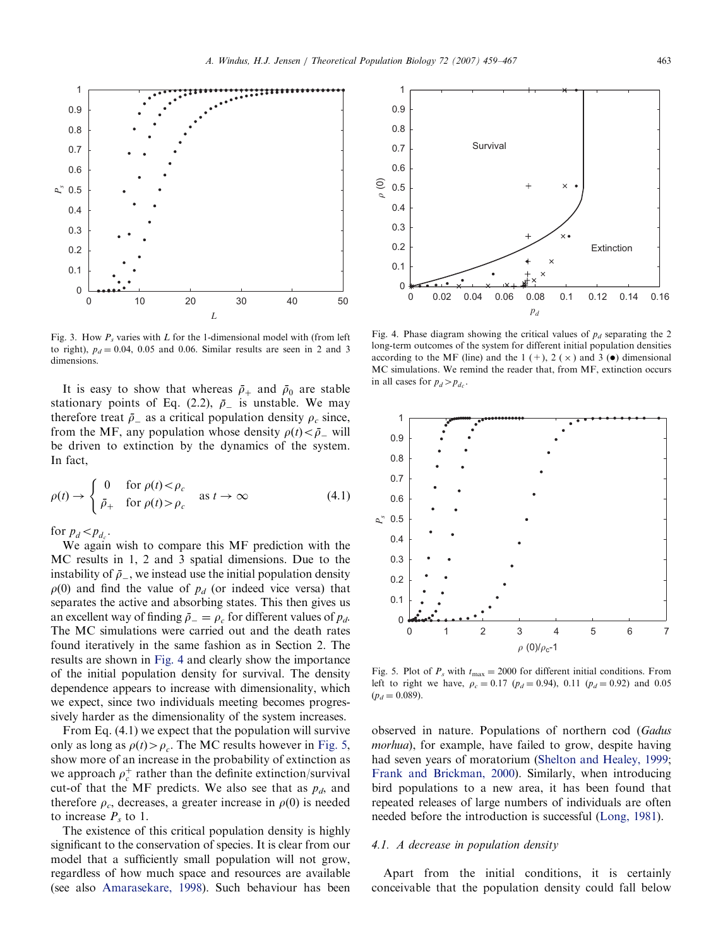<span id="page-4-0"></span>

Fig. 3. How  $P_s$  varies with L for the 1-dimensional model with (from left to right),  $p_d = 0.04$ , 0.05 and 0.06. Similar results are seen in 2 and 3 dimensions.

It is easy to show that whereas  $\bar{\rho}_{+}$  and  $\bar{\rho}_{0}$  are stable stationary points of Eq. (2.2),  $\bar{p}_-$  is unstable. We may therefore treat  $\bar{\rho}_-$  as a critical population density  $\rho_c$  since, from the MF, any population whose density  $\rho(t) < \bar{\rho}$  will be driven to extinction by the dynamics of the system. In fact,

$$
\rho(t) \to \begin{cases} 0 & \text{for } \rho(t) < \rho_c \\ \bar{\rho}_+ & \text{for } \rho(t) > \rho_c \end{cases} \quad \text{as } t \to \infty \tag{4.1}
$$

for  $p_d < p_{d_c}$ .

We again wish to compare this MF prediction with the MC results in 1, 2 and 3 spatial dimensions. Due to the instability of  $\bar{\rho}$ , we instead use the initial population density  $\rho(0)$  and find the value of  $p_d$  (or indeed vice versa) that separates the active and absorbing states. This then gives us an excellent way of finding  $\bar{\rho}_{-} = \rho_c$  for different values of  $p_d$ . The MC simulations were carried out and the death rates found iteratively in the same fashion as in Section 2. The results are shown in Fig. 4 and clearly show the importance of the initial population density for survival. The density dependence appears to increase with dimensionality, which we expect, since two individuals meeting becomes progressively harder as the dimensionality of the system increases.

From Eq. (4.1) we expect that the population will survive only as long as  $\rho(t) > \rho_c$ . The MC results however in Fig. 5, show more of an increase in the probability of extinction as we approach  $\rho_c^+$  rather than the definite extinction/survival cut-of that the MF predicts. We also see that as  $p_d$ , and therefore  $\rho_c$ , decreases, a greater increase in  $\rho(0)$  is needed to increase  $P_s$  to 1.

The existence of this critical population density is highly significant to the conservation of species. It is clear from our model that a sufficiently small population will not grow, regardless of how much space and resources are available (see also [Amarasekare,](#page-7-0) 1998). Such behaviour has been



Fig. 4. Phase diagram showing the critical values of  $p_d$  separating the 2 long-term outcomes of the system for different initial population densities according to the MF (line) and the 1 (+), 2 ( $\times$ ) and 3 ( $\bullet$ ) dimensional MC simulations. We remind the reader that, from MF, extinction occurs in all cases for  $p_d > p_{d_c}$ .



Fig. 5. Plot of  $P_s$  with  $t_{\text{max}} = 2000$  for different initial conditions. From left to right we have,  $\rho_c = 0.17$  ( $p_d = 0.94$ ), 0.11 ( $p_d = 0.92$ ) and 0.05  $(p_d = 0.089).$ 

observed in nature. Populations of northern cod (Gadus morhua), for example, have failed to grow, despite having had seven years of moratorium [\(Shelton](#page-7-0) and Healey, 1999; Frank and [Brickman,](#page-7-0) 2000). Similarly, when introducing bird populations to a new area, it has been found that repeated releases of large numbers of individuals are often needed before the introduction is successful ([Long,](#page-7-0) 1981).

## 4.1. A decrease in population density

Apart from the initial conditions, it is certainly conceivable that the population density could fall below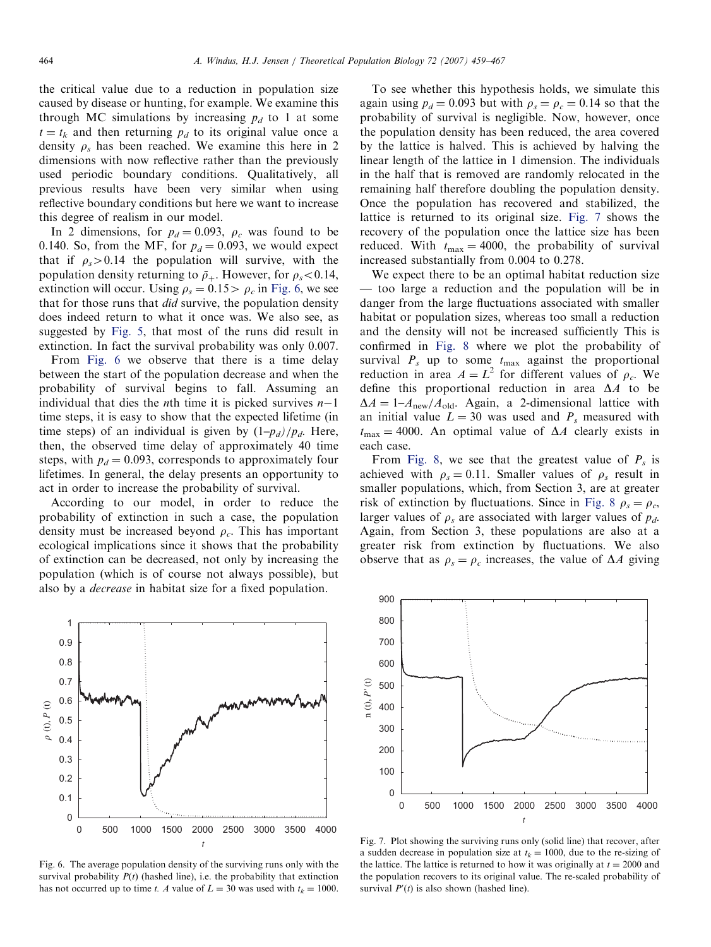the critical value due to a reduction in population size caused by disease or hunting, for example. We examine this through MC simulations by increasing  $p_d$  to 1 at some  $t = t_k$  and then returning  $p_d$  to its original value once a density  $\rho_s$  has been reached. We examine this here in 2 dimensions with now reflective rather than the previously used periodic boundary conditions. Qualitatively, all previous results have been very similar when using reflective boundary conditions but here we want to increase this degree of realism in our model.

In 2 dimensions, for  $p_d = 0.093$ ,  $\rho_c$  was found to be 0.140. So, from the MF, for  $p_d = 0.093$ , we would expect that if  $\rho_s > 0.14$  the population will survive, with the population density returning to  $\bar{p}_+$ . However, for  $\rho_s < 0.14$ , extinction will occur. Using  $\rho_s = 0.15 > \rho_c$  in Fig. 6, we see that for those runs that did survive, the population density does indeed return to what it once was. We also see, as suggested by [Fig.](#page-4-0) 5, that most of the runs did result in extinction. In fact the survival probability was only 0.007.

From Fig. 6 we observe that there is a time delay between the start of the population decrease and when the probability of survival begins to fall. Assuming an individual that dies the *n*th time it is picked survives  $n-1$ time steps, it is easy to show that the expected lifetime (in time steps) of an individual is given by  $(1-p<sub>d</sub>)/p<sub>d</sub>$ . Here, then, the observed time delay of approximately 40 time steps, with  $p_d = 0.093$ , corresponds to approximately four lifetimes. In general, the delay presents an opportunity to act in order to increase the probability of survival.

According to our model, in order to reduce the probability of extinction in such a case, the population density must be increased beyond  $\rho_c$ . This has important ecological implications since it shows that the probability of extinction can be decreased, not only by increasing the population (which is of course not always possible), but also by a decrease in habitat size for a fixed population.

To see whether this hypothesis holds, we simulate this again using  $p_d = 0.093$  but with  $\rho_s = \rho_c = 0.14$  so that the probability of survival is negligible. Now, however, once the population density has been reduced, the area covered by the lattice is halved. This is achieved by halving the linear length of the lattice in 1 dimension. The individuals in the half that is removed are randomly relocated in the remaining half therefore doubling the population density. Once the population has recovered and stabilized, the lattice is returned to its original size. Fig. 7 shows the recovery of the population once the lattice size has been reduced. With  $t_{\text{max}} = 4000$ , the probability of survival increased substantially from 0.004 to 0.278.

We expect there to be an optimal habitat reduction size — too large a reduction and the population will be in danger from the large fluctuations associated with smaller habitat or population sizes, whereas too small a reduction and the density will not be increased sufficiently This is confirmed in [Fig.](#page-6-0) 8 where we plot the probability of survival  $P_s$  up to some  $t_{\text{max}}$  against the proportional reduction in area  $A = L^2$  for different values of  $\rho_c$ . We define this proportional reduction in area  $\Delta A$  to be  $\Delta A = 1 - A<sub>new</sub>/A<sub>old</sub>$ . Again, a 2-dimensional lattice with an initial value  $L = 30$  was used and  $P_s$  measured with  $t_{\text{max}} = 4000$ . An optimal value of  $\Delta A$  clearly exists in each case.

From [Fig.](#page-6-0) 8, we see that the greatest value of  $P_s$  is achieved with  $\rho_s = 0.11$ . Smaller values of  $\rho_s$  result in smaller populations, which, from Section 3, are at greater risk of extinction by fluctuations. Since in [Fig.](#page-6-0) 8  $\rho_s = \rho_c$ , larger values of  $\rho_s$  are associated with larger values of  $p_d$ . Again, from Section 3, these populations are also at a greater risk from extinction by fluctuations. We also observe that as  $\rho_s = \rho_c$  increases, the value of  $\Delta A$  giving



Fig. 6. The average population density of the surviving runs only with the survival probability  $P(t)$  (hashed line), i.e. the probability that extinction has not occurred up to time t. A value of  $L = 30$  was used with  $t_k = 1000$ .



Fig. 7. Plot showing the surviving runs only (solid line) that recover, after a sudden decrease in population size at  $t_k = 1000$ , due to the re-sizing of the lattice. The lattice is returned to how it was originally at  $t = 2000$  and the population recovers to its original value. The re-scaled probability of survival  $P'(t)$  is also shown (hashed line).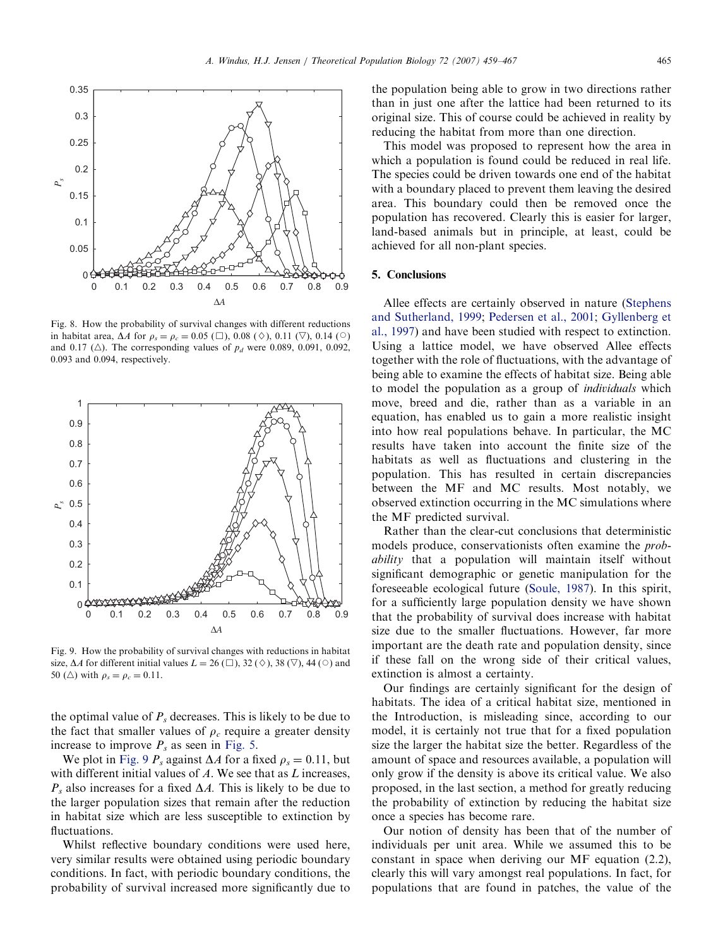<span id="page-6-0"></span>

Fig. 8. How the probability of survival changes with different reductions in habitat area,  $\Delta A$  for  $\rho_s = \rho_c = 0.05 \ (\Box)$ , 0.08 ( $\diamond$ ), 0.11 ( $\nabla$ ), 0.14 ( $\circ$ ) and 0.17 ( $\triangle$ ). The corresponding values of  $p_d$  were 0.089, 0.091, 0.092, 0.093 and 0.094, respectively.



Fig. 9. How the probability of survival changes with reductions in habitat size,  $\Delta A$  for different initial values  $L = 26 \ (\Box)$ , 32 ( $\diamond$ ), 38 ( $\triangledown$ ), 44 ( $\circ$ ) and 50 ( $\triangle$ ) with  $\rho_s = \rho_c = 0.11$ .

the optimal value of  $P_s$  decreases. This is likely to be due to the fact that smaller values of  $\rho_c$  require a greater density increase to improve  $P_s$  as seen in [Fig.](#page-4-0) 5.

We plot in Fig. 9  $P_s$  against  $\Delta A$  for a fixed  $\rho_s = 0.11$ , but with different initial values of  $A$ . We see that as  $L$  increases,  $P_s$  also increases for a fixed  $\Delta A$ . This is likely to be due to the larger population sizes that remain after the reduction in habitat size which are less susceptible to extinction by fluctuations.

Whilst reflective boundary conditions were used here, very similar results were obtained using periodic boundary conditions. In fact, with periodic boundary conditions, the probability of survival increased more significantly due to the population being able to grow in two directions rather than in just one after the lattice had been returned to its original size. This of course could be achieved in reality by reducing the habitat from more than one direction.

This model was proposed to represent how the area in which a population is found could be reduced in real life. The species could be driven towards one end of the habitat with a boundary placed to prevent them leaving the desired area. This boundary could then be removed once the population has recovered. Clearly this is easier for larger, land-based animals but in principle, at least, could be achieved for all non-plant species.

## 5. Conclusions

Allee effects are certainly observed in nature ([Stephens](#page-8-0) and [Sutherland,](#page-8-0) 1999; [Pedersen](#page-7-0) et al., 2001; [Gyllenberg](#page-7-0) et al., [1997](#page-7-0)) and have been studied with respect to extinction. Using a lattice model, we have observed Allee effects together with the role of fluctuations, with the advantage of being able to examine the effects of habitat size. Being able to model the population as a group of individuals which move, breed and die, rather than as a variable in an equation, has enabled us to gain a more realistic insight into how real populations behave. In particular, the MC results have taken into account the finite size of the habitats as well as fluctuations and clustering in the population. This has resulted in certain discrepancies between the MF and MC results. Most notably, we observed extinction occurring in the MC simulations where the MF predicted survival.

Rather than the clear-cut conclusions that deterministic models produce, conservationists often examine the probability that a population will maintain itself without significant demographic or genetic manipulation for the foreseeable ecological future [\(Soule,](#page-8-0) 1987). In this spirit, for a sufficiently large population density we have shown that the probability of survival does increase with habitat size due to the smaller fluctuations. However, far more important are the death rate and population density, since if these fall on the wrong side of their critical values, extinction is almost a certainty.

Our findings are certainly significant for the design of habitats. The idea of a critical habitat size, mentioned in the Introduction, is misleading since, according to our model, it is certainly not true that for a fixed population size the larger the habitat size the better. Regardless of the amount of space and resources available, a population will only grow if the density is above its critical value. We also proposed, in the last section, a method for greatly reducing the probability of extinction by reducing the habitat size once a species has become rare.

Our notion of density has been that of the number of individuals per unit area. While we assumed this to be constant in space when deriving our MF equation (2.2), clearly this will vary amongst real populations. In fact, for populations that are found in patches, the value of the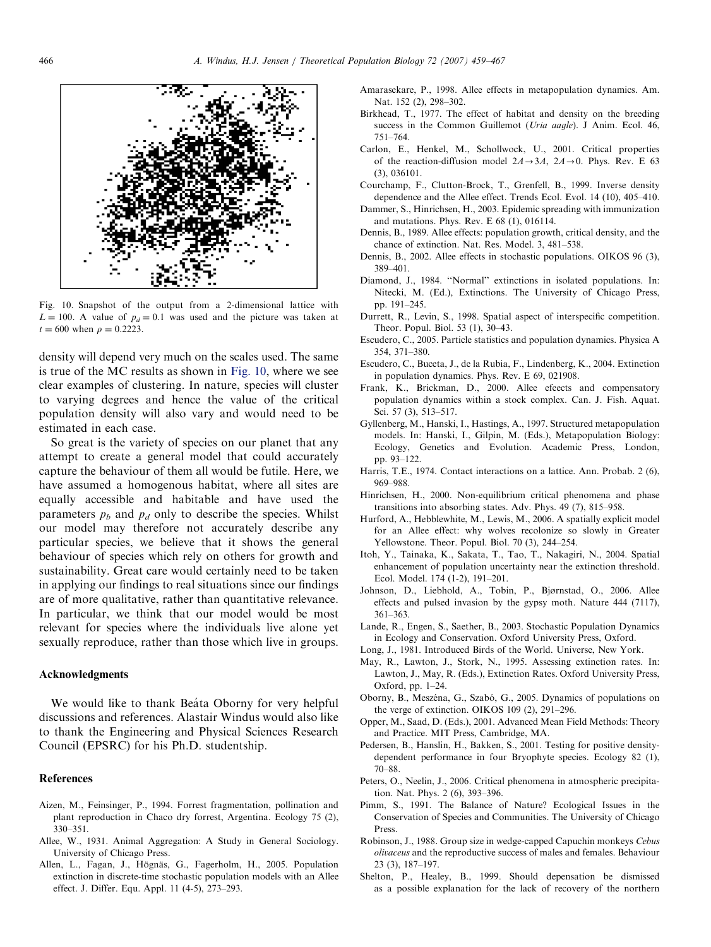<span id="page-7-0"></span>

Fig. 10. Snapshot of the output from a 2-dimensional lattice with  $L = 100$ . A value of  $p_d = 0.1$  was used and the picture was taken at  $t = 600$  when  $\rho = 0.2223$ .

density will depend very much on the scales used. The same is true of the MC results as shown in Fig. 10, where we see clear examples of clustering. In nature, species will cluster to varying degrees and hence the value of the critical population density will also vary and would need to be estimated in each case.

So great is the variety of species on our planet that any attempt to create a general model that could accurately capture the behaviour of them all would be futile. Here, we have assumed a homogenous habitat, where all sites are equally accessible and habitable and have used the parameters  $p<sub>b</sub>$  and  $p<sub>d</sub>$  only to describe the species. Whilst our model may therefore not accurately describe any particular species, we believe that it shows the general behaviour of species which rely on others for growth and sustainability. Great care would certainly need to be taken in applying our findings to real situations since our findings are of more qualitative, rather than quantitative relevance. In particular, we think that our model would be most relevant for species where the individuals live alone yet sexually reproduce, rather than those which live in groups.

#### Acknowledgments

We would like to thank Beata Oborny for very helpful discussions and references. Alastair Windus would also like to thank the Engineering and Physical Sciences Research Council (EPSRC) for his Ph.D. studentship.

## References

- Aizen, M., Feinsinger, P., 1994. Forrest fragmentation, pollination and plant reproduction in Chaco dry forrest, Argentina. Ecology 75 (2), 330–351.
- Allee, W., 1931. Animal Aggregation: A Study in General Sociology. University of Chicago Press.
- Allen, L., Fagan, J., Högnäs, G., Fagerholm, H., 2005. Population extinction in discrete-time stochastic population models with an Allee effect. J. Differ. Equ. Appl. 11 (4-5), 273–293.
- Amarasekare, P., 1998. Allee effects in metapopulation dynamics. Am. Nat. 152 (2), 298–302.
- Birkhead, T., 1977. The effect of habitat and density on the breeding success in the Common Guillemot (Uria aagle). J Anim. Ecol. 46, 751–764.
- Carlon, E., Henkel, M., Schollwock, U., 2001. Critical properties of the reaction-diffusion model  $2A \rightarrow 3A$ ,  $2A \rightarrow 0$ . Phys. Rev. E 63 (3), 036101.
- Courchamp, F., Clutton-Brock, T., Grenfell, B., 1999. Inverse density dependence and the Allee effect. Trends Ecol. Evol. 14 (10), 405–410.
- Dammer, S., Hinrichsen, H., 2003. Epidemic spreading with immunization and mutations. Phys. Rev. E 68 (1), 016114.
- Dennis, B., 1989. Allee effects: population growth, critical density, and the chance of extinction. Nat. Res. Model. 3, 481–538.
- Dennis, B., 2002. Allee effects in stochastic populations. OIKOS 96 (3), 389–401.
- Diamond, J., 1984. ''Normal'' extinctions in isolated populations. In: Nitecki, M. (Ed.), Extinctions. The University of Chicago Press, pp. 191–245.
- Durrett, R., Levin, S., 1998. Spatial aspect of interspecific competition. Theor. Popul. Biol. 53 (1), 30–43.
- Escudero, C., 2005. Particle statistics and population dynamics. Physica A 354, 371–380.
- Escudero, C., Buceta, J., de la Rubia, F., Lindenberg, K., 2004. Extinction in population dynamics. Phys. Rev. E 69, 021908.
- Frank, K., Brickman, D., 2000. Allee efeects and compensatory population dynamics within a stock complex. Can. J. Fish. Aquat. Sci. 57 (3), 513–517.
- Gyllenberg, M., Hanski, I., Hastings, A., 1997. Structured metapopulation models. In: Hanski, I., Gilpin, M. (Eds.), Metapopulation Biology: Ecology, Genetics and Evolution. Academic Press, London, pp. 93–122.
- Harris, T.E., 1974. Contact interactions on a lattice. Ann. Probab. 2 (6), 969–988.
- Hinrichsen, H., 2000. Non-equilibrium critical phenomena and phase transitions into absorbing states. Adv. Phys. 49 (7), 815–958.
- Hurford, A., Hebblewhite, M., Lewis, M., 2006. A spatially explicit model for an Allee effect: why wolves recolonize so slowly in Greater Yellowstone. Theor. Popul. Biol. 70 (3), 244–254.
- Itoh, Y., Tainaka, K., Sakata, T., Tao, T., Nakagiri, N., 2004. Spatial enhancement of population uncertainty near the extinction threshold. Ecol. Model. 174 (1-2), 191–201.
- Johnson, D., Liebhold, A., Tobin, P., Bjørnstad, O., 2006. Allee effects and pulsed invasion by the gypsy moth. Nature 444 (7117), 361–363.
- Lande, R., Engen, S., Saether, B., 2003. Stochastic Population Dynamics in Ecology and Conservation. Oxford University Press, Oxford.
- Long, J., 1981. Introduced Birds of the World. Universe, New York.
- May, R., Lawton, J., Stork, N., 1995. Assessing extinction rates. In: Lawton, J., May, R. (Eds.), Extinction Rates. Oxford University Press, Oxford,  $pp. 1-24$ .
- Oborny, B., Meszéna, G., Szabó, G., 2005. Dynamics of populations on the verge of extinction. OIKOS 109 (2), 291–296.
- Opper, M., Saad, D. (Eds.), 2001. Advanced Mean Field Methods: Theory and Practice. MIT Press, Cambridge, MA.
- Pedersen, B., Hanslin, H., Bakken, S., 2001. Testing for positive densitydependent performance in four Bryophyte species. Ecology 82 (1), 70–88.
- Peters, O., Neelin, J., 2006. Critical phenomena in atmospheric precipitation. Nat. Phys. 2 (6), 393–396.
- Pimm, S., 1991. The Balance of Nature? Ecological Issues in the Conservation of Species and Communities. The University of Chicago Press.
- Robinson, J., 1988. Group size in wedge-capped Capuchin monkeys Cebus olivaceus and the reproductive success of males and females. Behaviour 23 (3), 187–197.
- Shelton, P., Healey, B., 1999. Should depensation be dismissed as a possible explanation for the lack of recovery of the northern